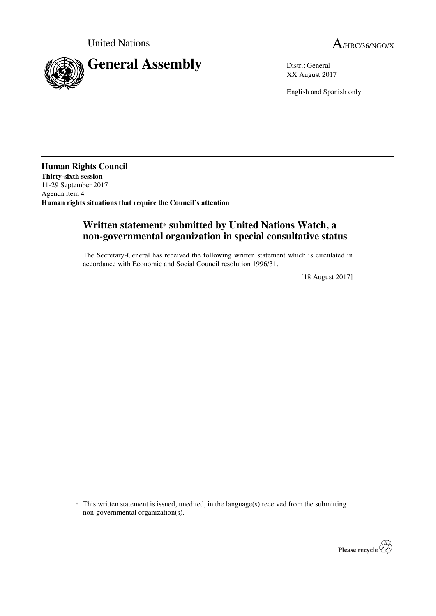

XX August 2017

English and Spanish only

**Human Rights Council Thirty-sixth session**  11-29 September 2017 Agenda item 4 **Human rights situations that require the Council's attention**

 $\overline{a}$ 

## **Written statement**\* **submitted by United Nations Watch, a non-governmental organization in special consultative status**

The Secretary-General has received the following written statement which is circulated in accordance with Economic and Social Council resolution 1996/31.

[18 August 2017]

 <sup>\*</sup> This written statement is issued, unedited, in the language(s) received from the submitting non-governmental organization(s).

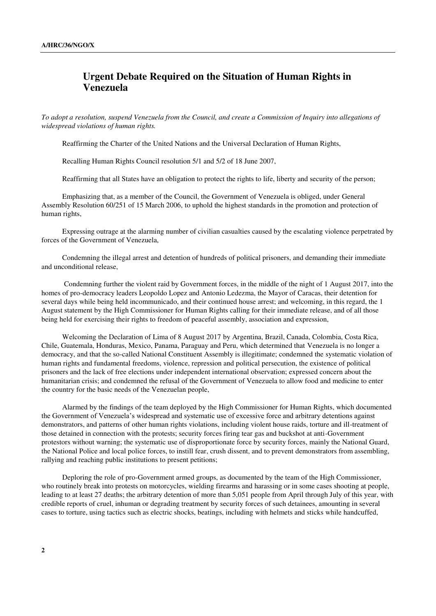## **Urgent Debate Required on the Situation of Human Rights in Venezuela**

*To adopt a resolution, suspend Venezuela from the Council, and create a Commission of Inquiry into allegations of widespread violations of human rights.* 

Reaffirming the Charter of the United Nations and the Universal Declaration of Human Rights,

Recalling Human Rights Council resolution 5/1 and 5/2 of 18 June 2007,

Reaffirming that all States have an obligation to protect the rights to life, liberty and security of the person;

 Emphasizing that, as a member of the Council, the Government of Venezuela is obliged, under General Assembly Resolution 60/251 of 15 March 2006, to uphold the highest standards in the promotion and protection of human rights,

 Expressing outrage at the alarming number of civilian casualties caused by the escalating violence perpetrated by forces of the Government of Venezuela,

 Condemning the illegal arrest and detention of hundreds of political prisoners, and demanding their immediate and unconditional release,

 Condemning further the violent raid by Government forces, in the middle of the night of 1 August 2017, into the homes of pro-democracy leaders Leopoldo Lopez and Antonio Ledezma, the Mayor of Caracas, their detention for several days while being held incommunicado, and their continued house arrest; and welcoming, in this regard, the 1 August statement by the High Commissioner for Human Rights calling for their immediate release, and of all those being held for exercising their rights to freedom of peaceful assembly, association and expression,

 Welcoming the Declaration of Lima of 8 August 2017 by Argentina, Brazil, Canada, Colombia, Costa Rica, Chile, Guatemala, Honduras, Mexico, Panama, Paraguay and Peru, which determined that Venezuela is no longer a democracy, and that the so-called National Constituent Assembly is illegitimate; condemned the systematic violation of human rights and fundamental freedoms, violence, repression and political persecution, the existence of political prisoners and the lack of free elections under independent international observation; expressed concern about the humanitarian crisis; and condemned the refusal of the Government of Venezuela to allow food and medicine to enter the country for the basic needs of the Venezuelan people,

 Alarmed by the findings of the team deployed by the High Commissioner for Human Rights, which documented the Government of Venezuela's widespread and systematic use of excessive force and arbitrary detentions against demonstrators, and patterns of other human rights violations, including violent house raids, torture and ill-treatment of those detained in connection with the protests; security forces firing tear gas and buckshot at anti-Government protestors without warning; the systematic use of disproportionate force by security forces, mainly the National Guard, the National Police and local police forces, to instill fear, crush dissent, and to prevent demonstrators from assembling, rallying and reaching public institutions to present petitions;

 Deploring the role of pro-Government armed groups, as documented by the team of the High Commissioner, who routinely break into protests on motorcycles, wielding firearms and harassing or in some cases shooting at people, leading to at least 27 deaths; the arbitrary detention of more than 5,051 people from April through July of this year, with credible reports of cruel, inhuman or degrading treatment by security forces of such detainees, amounting in several cases to torture, using tactics such as electric shocks, beatings, including with helmets and sticks while handcuffed,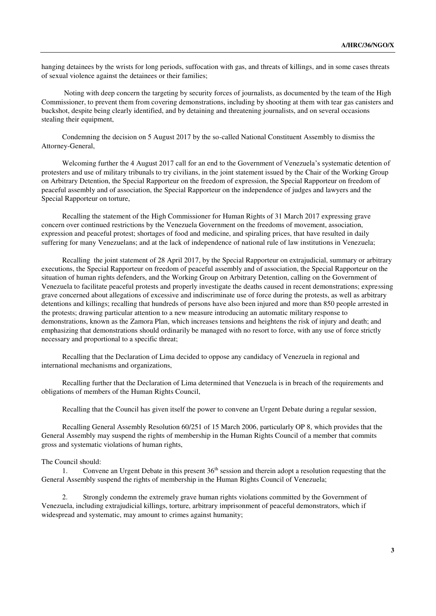hanging detainees by the wrists for long periods, suffocation with gas, and threats of killings, and in some cases threats of sexual violence against the detainees or their families;

 Noting with deep concern the targeting by security forces of journalists, as documented by the team of the High Commissioner, to prevent them from covering demonstrations, including by shooting at them with tear gas canisters and buckshot, despite being clearly identified, and by detaining and threatening journalists, and on several occasions stealing their equipment,

 Condemning the decision on 5 August 2017 by the so-called National Constituent Assembly to dismiss the Attorney-General,

 Welcoming further the 4 August 2017 call for an end to the Government of Venezuela's systematic detention of protesters and use of military tribunals to try civilians, in the joint statement issued by the Chair of the Working Group on Arbitrary Detention, the Special Rapporteur on the freedom of expression, the Special Rapporteur on freedom of peaceful assembly and of association, the Special Rapporteur on the independence of judges and lawyers and the Special Rapporteur on torture,

 Recalling the statement of the High Commissioner for Human Rights of 31 March 2017 expressing grave concern over continued restrictions by the Venezuela Government on the freedoms of movement, association, expression and peaceful protest; shortages of food and medicine, and spiraling prices, that have resulted in daily suffering for many Venezuelans; and at the lack of independence of national rule of law institutions in Venezuela;

 Recalling the joint statement of 28 April 2017, by the Special Rapporteur on extrajudicial, summary or arbitrary executions, the Special Rapporteur on freedom of peaceful assembly and of association, the Special Rapporteur on the situation of human rights defenders, and the Working Group on Arbitrary Detention, calling on the Government of Venezuela to facilitate peaceful protests and properly investigate the deaths caused in recent demonstrations; expressing grave concerned about allegations of excessive and indiscriminate use of force during the protests, as well as arbitrary detentions and killings; recalling that hundreds of persons have also been injured and more than 850 people arrested in the protests; drawing particular attention to a new measure introducing an automatic military response to demonstrations, known as the Zamora Plan, which increases tensions and heightens the risk of injury and death; and emphasizing that demonstrations should ordinarily be managed with no resort to force, with any use of force strictly necessary and proportional to a specific threat;

 Recalling that the Declaration of Lima decided to oppose any candidacy of Venezuela in regional and international mechanisms and organizations,

 Recalling further that the Declaration of Lima determined that Venezuela is in breach of the requirements and obligations of members of the Human Rights Council,

Recalling that the Council has given itself the power to convene an Urgent Debate during a regular session,

 Recalling General Assembly Resolution 60/251 of 15 March 2006, particularly OP 8, which provides that the General Assembly may suspend the rights of membership in the Human Rights Council of a member that commits gross and systematic violations of human rights,

## The Council should:

1. Convene an Urgent Debate in this present  $36<sup>th</sup>$  session and therein adopt a resolution requesting that the General Assembly suspend the rights of membership in the Human Rights Council of Venezuela;

2. Strongly condemn the extremely grave human rights violations committed by the Government of Venezuela, including extrajudicial killings, torture, arbitrary imprisonment of peaceful demonstrators, which if widespread and systematic, may amount to crimes against humanity;